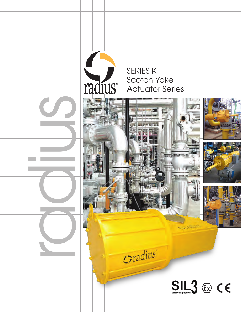

radius de la compagnie de la compagnie de la compagnie de la compagnie de la compagnie de la compagnie de la compagnie de la compagnie de la compagnie de la compagnie de la compagnie de la compagnie de la compagnie de la c

SERIES K Scotch Yoke Actuator Series













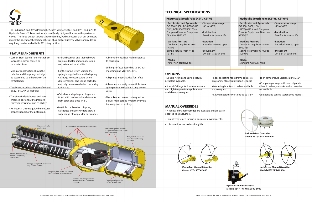• Carbon Steel Scotch Yoke mechanism

• All components have high resistance

radius

# **FEATURES AND BENEFITS**

| • Carbon Steel Scotch Yoke mechanism<br>available in either canted or       |                                                                          | • Bronze bearings and sliding blocks<br>are provided for smooth operation                                        | • All components have high resistance<br>to corrosion.          |                                          |
|-----------------------------------------------------------------------------|--------------------------------------------------------------------------|------------------------------------------------------------------------------------------------------------------|-----------------------------------------------------------------|------------------------------------------|
| symmetric form.                                                             | and extended service life.                                               |                                                                                                                  |                                                                 |                                          |
| • Modular construction allows the                                           |                                                                          | . For the spring return version the                                                                              | mounting and VDI/VDE 3845.                                      | • Linking surfaces according to ISO 5211 |
| cylinder and the spring cartridge to<br>be assembled to either side of the  |                                                                          | spring is supplied in a welded spring<br>cartridge to ensure safety when                                         | • All springs are preloaded for safety.                         |                                          |
| central body.                                                               |                                                                          | disassembling. The spring cartridge<br>can only be removed when the spring                                       |                                                                 | • All models are easily convertible from |
| · Totally enclosed weatherproof central                                     | is released.                                                             |                                                                                                                  |                                                                 | spring return to double acting or vice   |
| body. IP-65/IP-66 certified.<br>· The air cylinder is honed and hard        |                                                                          | • Cylinders and spring cartridges are                                                                            | versa.                                                          |                                          |
| chromed as standard to improve<br>corrosion resistance and reliability.     |                                                                          | fitted with mechanical end stops for<br>both open and close +/- 5°.                                              | • The yoke mechanism is designed to<br>breaking and re-seating. | deliver more torque when the valve is    |
| • An internal chrome guide bar ensures<br>proper support of the piston rod. |                                                                          | • Multiple combination of spring<br>cartridges and air cylinders allow a<br>wide range of torques for one model. |                                                                 |                                          |
| High strength alloy<br>steel springs                                        |                                                                          | Hardened alloy steel piston rods & guide bars                                                                    | Modular design both hydraulic                                   |                                          |
|                                                                             |                                                                          |                                                                                                                  | and pneumatic cylinders accept<br>modular override              | Air cylinder is honed and                |
|                                                                             |                                                                          |                                                                                                                  |                                                                 | hard chromed for long<br>service life    |
| Welded spring cartridge<br>ensures safety during<br>disassembly             |                                                                          |                                                                                                                  |                                                                 |                                          |
| Spring guides (Standard) provides<br>long linear service life               |                                                                          |                                                                                                                  |                                                                 |                                          |
|                                                                             | Heavy duty Scotch Yoke mechanism<br>transforms linear to rotary rotation |                                                                                                                  |                                                                 |                                          |
|                                                                             |                                                                          | Standard mounting for valves<br>and controls ISO 5211 and VDI/<br><b>VDE 3845</b>                                | Travel stops: both ends<br>$90^\circ \pm 5^\circ$ at both ends  |                                          |



The Radius KSY and KSYM Pneumatic Scotch Yoke actuators and KSYH and KSYHM Hydraulic Scotch Yoke actuators are specifically designed for use with quarter-turn valves. The large output torque range offered by Radius ensures that our actuators match the operational characteristics of plug, ball or butterfly valves; or any device requiring precise and reliable 90° rotary motion.

| <b>TECHNICAL SPECIFICATIONS</b>                                                                                                |                                                                                 |                                                                                 |                                                                                       |
|--------------------------------------------------------------------------------------------------------------------------------|---------------------------------------------------------------------------------|---------------------------------------------------------------------------------|---------------------------------------------------------------------------------------|
| <b>Pneumatic Scotch Yoke (KSY / KSYM)</b>                                                                                      |                                                                                 | Hydraulic Scotch Yoke (KSYH / KSYHM)                                            |                                                                                       |
|                                                                                                                                |                                                                                 |                                                                                 |                                                                                       |
| • Certificates and Approvals<br>ISO 9001:2008, IEC 61508:2010<br>$-4^\circ$ to 140 $\degree$ F<br>(SIL3), LOM 10ATEX6092 X and | • Temperature range                                                             | • Certificates and Approvals<br>ISO 9001:2008, LOM<br>10ATEX6092 X and European | • Temperature range<br>$-4^\circ$ to 140 $\degree$ F                                  |
| • Lubrication<br>European Pressure Equipment<br>Directive 97/23/CE                                                             | Free for its normal life                                                        | Pressure Equipment Directive<br>97/23/CE                                        | • Lubrication<br>Free for its normal life                                             |
| • Working Pressure<br>• Rotation<br>Double Acting: From 29 to<br>145 PSI                                                       | Anti-clockwise to open                                                          | • Working Pressure<br>Double Acting: From 750 to<br>3000 PSI                    | • Rotation<br>Anti-clockwise to open                                                  |
| Spring Return: From 44 to<br>• Movement<br>131 PSI                                                                             | $90^\circ \pm 5^\circ$ (at each end)                                            | Spring Return: From 1000 to<br>3000 PSI                                         | • Movement<br>$90^\circ \pm 5^\circ$ (at each end)                                    |
| • Media<br>Air or non corrosive gas                                                                                            |                                                                                 | • Media<br>Standard hydraulic fluid                                             |                                                                                       |
|                                                                                                                                |                                                                                 |                                                                                 |                                                                                       |
| <b>OPTIONS</b>                                                                                                                 |                                                                                 |                                                                                 |                                                                                       |
| • Double Acting and Spring Return<br>actuators available.                                                                      | • Special coating for extreme corrosive<br>environments available upon request. |                                                                                 | • High temperature versions up to 356°F.                                              |
| • Special O-Rings for low temperature                                                                                          | • Mounting brackets to valves available                                         |                                                                                 | • Complete package with control panels,<br>solenoid valves, air tanks and accessories |
| and high temperature applications                                                                                              | upon request.                                                                   | are available                                                                   |                                                                                       |
| available upon request.                                                                                                        | • Low temperature versions up to -58°F                                          |                                                                                 | Fail open and canted scotch yoke models                                               |
|                                                                                                                                |                                                                                 |                                                                                 |                                                                                       |
| <b>MANUAL OVERRIDES</b>                                                                                                        |                                                                                 |                                                                                 |                                                                                       |
| • A variety of manal overrides are available and are easily                                                                    |                                                                                 |                                                                                 |                                                                                       |
| adapted to all actuators.                                                                                                      |                                                                                 |                                                                                 |                                                                                       |
| • Completely sealed for use in corrosive environments.                                                                         |                                                                                 |                                                                                 |                                                                                       |
| • Lubricated for normal working life.                                                                                          |                                                                                 |                                                                                 |                                                                                       |
|                                                                                                                                |                                                                                 | <b>Enclosed Gear Overrides</b><br>Models KSY / KSYM 100-400                     |                                                                                       |
|                                                                                                                                |                                                                                 |                                                                                 |                                                                                       |
|                                                                                                                                |                                                                                 |                                                                                 |                                                                                       |
|                                                                                                                                |                                                                                 |                                                                                 |                                                                                       |
| <b>Worm Gear Manual Overrides</b><br>Models KSY / KSYM 1600                                                                    |                                                                                 | Models KSY / KSYM 900                                                           | <b>Jack Screw Manual Overrides</b>                                                    |
|                                                                                                                                |                                                                                 | <b>Hydraulic Pump Overrides</b><br>Models KSYH / KSYHM 3500-5000                |                                                                                       |

- 
- 
-